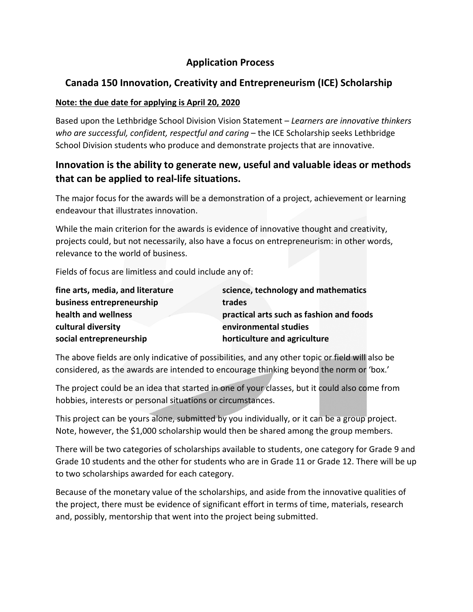# **Application Process**

# **Canada 150 Innovation, Creativity and Entrepreneurism (ICE) Scholarship**

### **Note: the due date for applying is April 20, 2020**

Based upon the Lethbridge School Division Vision Statement – *Learners are innovative thinkers who are successful, confident, respectful and caring* – the ICE Scholarship seeks Lethbridge School Division students who produce and demonstrate projects that are innovative.

# **Innovation is the ability to generate new, useful and valuable ideas or methods that can be applied to real-life situations.**

The major focus for the awards will be a demonstration of a project, achievement or learning endeavour that illustrates innovation.

While the main criterion for the awards is evidence of innovative thought and creativity, projects could, but not necessarily, also have a focus on entrepreneurism: in other words, relevance to the world of business.

Fields of focus are limitless and could include any of:

| fine arts, media, and literature | science, technology and mathematics      |
|----------------------------------|------------------------------------------|
| business entrepreneurship        | trades                                   |
| health and wellness              | practical arts such as fashion and foods |
| cultural diversity               | environmental studies                    |
| social entrepreneurship          | horticulture and agriculture             |

The above fields are only indicative of possibilities, and any other topic or field will also be considered, as the awards are intended to encourage thinking beyond the norm or 'box.'

The project could be an idea that started in one of your classes, but it could also come from hobbies, interests or personal situations or circumstances.

This project can be yours alone, submitted by you individually, or it can be a group project. Note, however, the \$1,000 scholarship would then be shared among the group members.

There will be two categories of scholarships available to students, one category for Grade 9 and Grade 10 students and the other for students who are in Grade 11 or Grade 12. There will be up to two scholarships awarded for each category.

Because of the monetary value of the scholarships, and aside from the innovative qualities of the project, there must be evidence of significant effort in terms of time, materials, research and, possibly, mentorship that went into the project being submitted.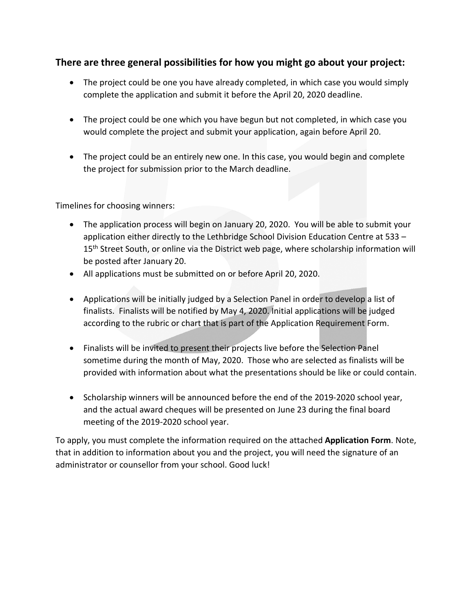### **There are three general possibilities for how you might go about your project:**

- The project could be one you have already completed, in which case you would simply complete the application and submit it before the April 20, 2020 deadline.
- The project could be one which you have begun but not completed, in which case you would complete the project and submit your application, again before April 20.
- The project could be an entirely new one. In this case, you would begin and complete the project for submission prior to the March deadline.

Timelines for choosing winners:

- The application process will begin on January 20, 2020. You will be able to submit your application either directly to the Lethbridge School Division Education Centre at 533 – 15<sup>th</sup> Street South, or online via the District web page, where scholarship information will be posted after January 20.
- All applications must be submitted on or before April 20, 2020.
- Applications will be initially judged by a Selection Panel in order to develop a list of finalists. Finalists will be notified by May 4, 2020. Initial applications will be judged according to the rubric or chart that is part of the Application Requirement Form.
- Finalists will be invited to present their projects live before the Selection Panel sometime during the month of May, 2020. Those who are selected as finalists will be provided with information about what the presentations should be like or could contain.
- Scholarship winners will be announced before the end of the 2019-2020 school year, and the actual award cheques will be presented on June 23 during the final board meeting of the 2019-2020 school year.

To apply, you must complete the information required on the attached **Application Form**. Note, that in addition to information about you and the project, you will need the signature of an administrator or counsellor from your school. Good luck!